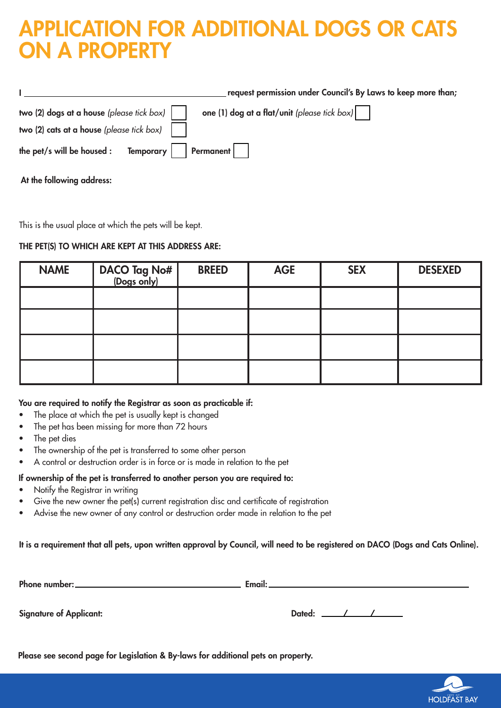# APPLICATION FOR ADDITIONAL DOGS OR CATS ON A PROPERTY

|                                                                                                                                                                       | request permission under Council's By Laws to keep more than; |
|-----------------------------------------------------------------------------------------------------------------------------------------------------------------------|---------------------------------------------------------------|
| two (2) dogs at a house (please tick box)                                                                                                                             | one (1) dog at a flat/unit (please tick box) $\vert$          |
| two (2) cats at a house (please tick box)                                                                                                                             |                                                               |
| the pet/s will be housed : Temporary $\begin{vmatrix} \cdot & \cdot & \cdot \\ \cdot & \cdot & \cdot \\ \cdot & \cdot & \cdot \\ \cdot & \cdot & \cdot \end{vmatrix}$ |                                                               |

At the following address:

This is the usual place at which the pets will be kept.

# THE PET(S) TO WHICH ARE KEPT AT THIS ADDRESS ARE:

| <b>NAME</b> | DACO Tag No#<br>(Dogs only) | <b>BREED</b> | <b>AGE</b> | <b>SEX</b> | <b>DESEXED</b> |
|-------------|-----------------------------|--------------|------------|------------|----------------|
|             |                             |              |            |            |                |
|             |                             |              |            |            |                |
|             |                             |              |            |            |                |
|             |                             |              |            |            |                |

## You are required to notify the Registrar as soon as practicable if:

- The place at which the pet is usually kept is changed
- The pet has been missing for more than 72 hours
- The pet dies
- The ownership of the pet is transferred to some other person
- A control or destruction order is in force or is made in relation to the pet

# If ownership of the pet is transferred to another person you are required to:

- Notify the Registrar in writing
- Give the new owner the pet(s) current registration disc and certificate of registration
- Advise the new owner of any control or destruction order made in relation to the pet

It is a requirement that all pets, upon written approval by Council, will need to be registered on DACO (Dogs and Cats Online).

Phone number: Email:

Signature of Applicant: Dated:

Please see second page for Legislation & By-laws for additional pets on property.